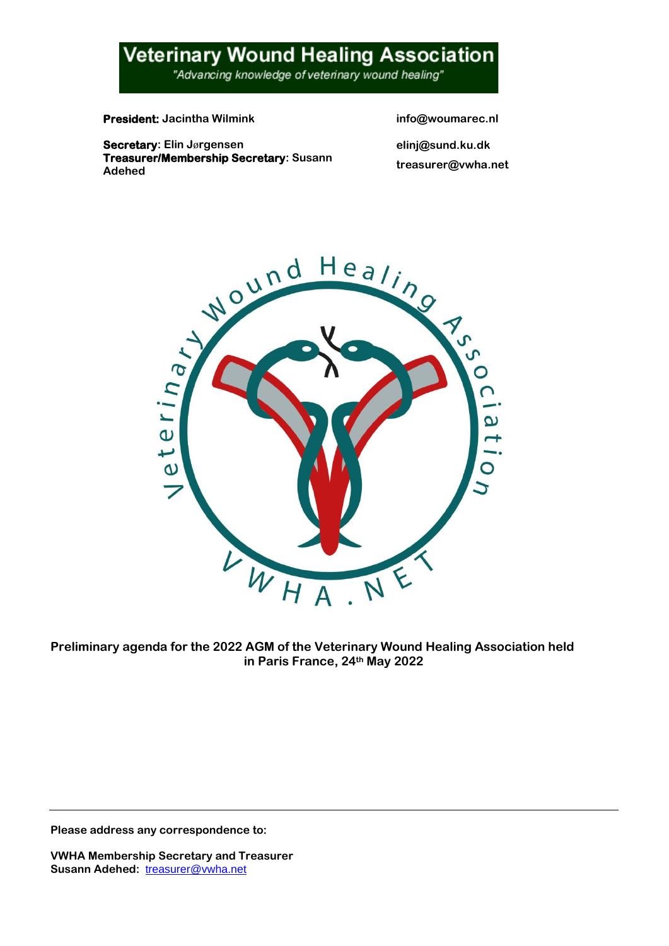## **Veterinary Wound Healing Association**

ׇ֦֘֡

"Advancing knowledge of veterinary wound healing"

**President:** Jacintha Wilmink info@woumarec.nl

**Secretary: Elin J**ø**rgensen elinj@sund.ku.dk Treasurer/Membership Secretary: Susann Adehed treasurer@vwha.net**



**Preliminary agenda for the 2022 AGM of the Veterinary Wound Healing Association held in Paris France, 24th May 2022**

**Please address any correspondence to:**

**VWHA Membership Secretary and Treasurer Susann Adehed:** [treasurer@vwha.net](mailto:treasurer@vwha.net)